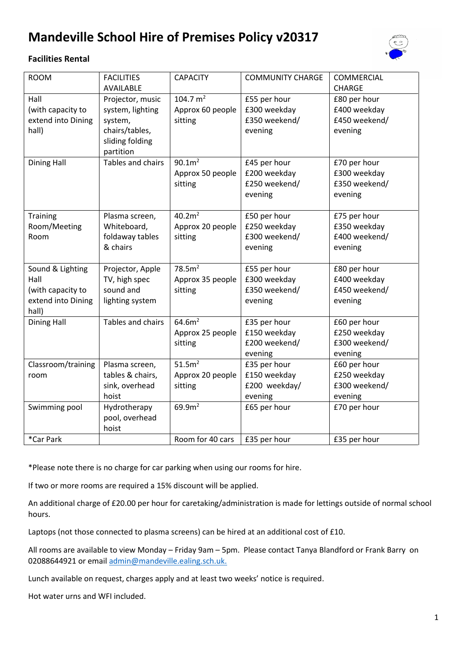# **Mandeville School Hire of Premises Policy v20317**

# **Facilities Rental**



| <b>ROOM</b>        | <b>FACILITIES</b> | <b>CAPACITY</b>    | <b>COMMUNITY CHARGE</b> | COMMERCIAL    |
|--------------------|-------------------|--------------------|-------------------------|---------------|
|                    | AVAILABLE         |                    |                         | <b>CHARGE</b> |
| Hall               | Projector, music  | 104.7 $m2$         | £55 per hour            | £80 per hour  |
| (with capacity to  | system, lighting  | Approx 60 people   | £300 weekday            | £400 weekday  |
| extend into Dining | system,           | sitting            | £350 weekend/           | £450 weekend/ |
| hall)              | chairs/tables,    |                    | evening                 | evening       |
|                    | sliding folding   |                    |                         |               |
|                    | partition         |                    |                         |               |
| <b>Dining Hall</b> | Tables and chairs | 90.1m <sup>2</sup> | £45 per hour            | £70 per hour  |
|                    |                   | Approx 50 people   | £200 weekday            | £300 weekday  |
|                    |                   | sitting            | £250 weekend/           | £350 weekend/ |
|                    |                   |                    | evening                 | evening       |
|                    |                   |                    |                         |               |
| Training           | Plasma screen,    | 40.2m <sup>2</sup> | £50 per hour            | £75 per hour  |
| Room/Meeting       | Whiteboard,       | Approx 20 people   | £250 weekday            | £350 weekday  |
| Room               | foldaway tables   | sitting            | £300 weekend/           | £400 weekend/ |
|                    | & chairs          |                    | evening                 | evening       |
|                    |                   |                    |                         |               |
| Sound & Lighting   | Projector, Apple  | 78.5m <sup>2</sup> | £55 per hour            | £80 per hour  |
| Hall               | TV, high spec     | Approx 35 people   | £300 weekday            | £400 weekday  |
| (with capacity to  | sound and         | sitting            | £350 weekend/           | £450 weekend/ |
| extend into Dining | lighting system   |                    | evening                 | evening       |
| hall)              |                   |                    |                         |               |
| <b>Dining Hall</b> | Tables and chairs | 64.6m <sup>2</sup> | £35 per hour            | £60 per hour  |
|                    |                   | Approx 25 people   | £150 weekday            | £250 weekday  |
|                    |                   | sitting            | £200 weekend/           | £300 weekend/ |
|                    |                   |                    | evening                 | evening       |
| Classroom/training | Plasma screen,    | 51.5m <sup>2</sup> | £35 per hour            | £60 per hour  |
| room               | tables & chairs,  | Approx 20 people   | £150 weekday            | £250 weekday  |
|                    | sink, overhead    | sitting            | £200 weekday/           | £300 weekend/ |
|                    | hoist             |                    | evening                 | evening       |
|                    |                   | 69.9m <sup>2</sup> | £65 per hour            |               |
| Swimming pool      | Hydrotherapy      |                    |                         | £70 per hour  |
|                    | pool, overhead    |                    |                         |               |
|                    | hoist             |                    |                         |               |
| *Car Park          |                   | Room for 40 cars   | £35 per hour            | £35 per hour  |

\*Please note there is no charge for car parking when using our rooms for hire.

If two or more rooms are required a 15% discount will be applied.

An additional charge of £20.00 per hour for caretaking/administration is made for lettings outside of normal school hours.

Laptops (not those connected to plasma screens) can be hired at an additional cost of £10.

All rooms are available to view Monday – Friday 9am – 5pm. Please contact Tanya Blandford or Frank Barry on 02088644921 or email [admin@mandeville.ealing.sch.uk.](mailto:admin@mandeville.ealing.sch.uk)

Lunch available on request, charges apply and at least two weeks' notice is required.

Hot water urns and WFI included.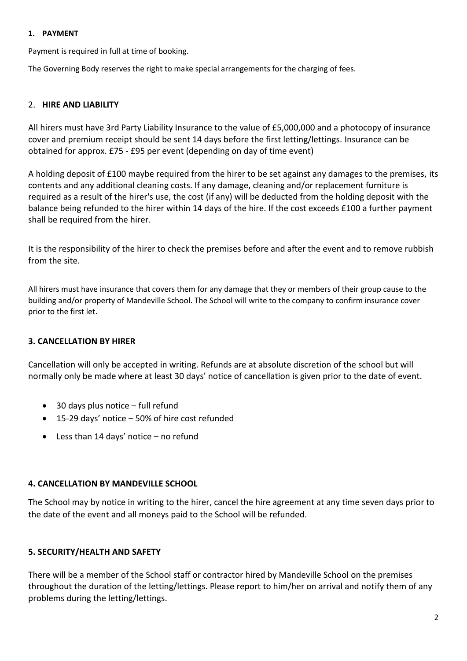#### **1. PAYMENT**

Payment is required in full at time of booking.

The Governing Body reserves the right to make special arrangements for the charging of fees.

# 2. **HIRE AND LIABILITY**

All hirers must have 3rd Party Liability Insurance to the value of £5,000,000 and a photocopy of insurance cover and premium receipt should be sent 14 days before the first letting/lettings. Insurance can be obtained for approx. £75 - £95 per event (depending on day of time event)

A holding deposit of £100 maybe required from the hirer to be set against any damages to the premises, its contents and any additional cleaning costs. If any damage, cleaning and/or replacement furniture is required as a result of the hirer's use, the cost (if any) will be deducted from the holding deposit with the balance being refunded to the hirer within 14 days of the hire. If the cost exceeds £100 a further payment shall be required from the hirer.

It is the responsibility of the hirer to check the premises before and after the event and to remove rubbish from the site.

All hirers must have insurance that covers them for any damage that they or members of their group cause to the building and/or property of Mandeville School. The School will write to the company to confirm insurance cover prior to the first let.

# **3. CANCELLATION BY HIRER**

Cancellation will only be accepted in writing. Refunds are at absolute discretion of the school but will normally only be made where at least 30 days' notice of cancellation is given prior to the date of event.

- 30 days plus notice full refund
- 15-29 days' notice 50% of hire cost refunded
- Less than 14 days' notice no refund

# **4. CANCELLATION BY MANDEVILLE SCHOOL**

The School may by notice in writing to the hirer, cancel the hire agreement at any time seven days prior to the date of the event and all moneys paid to the School will be refunded.

# **5. SECURITY/HEALTH AND SAFETY**

There will be a member of the School staff or contractor hired by Mandeville School on the premises throughout the duration of the letting/lettings. Please report to him/her on arrival and notify them of any problems during the letting/lettings.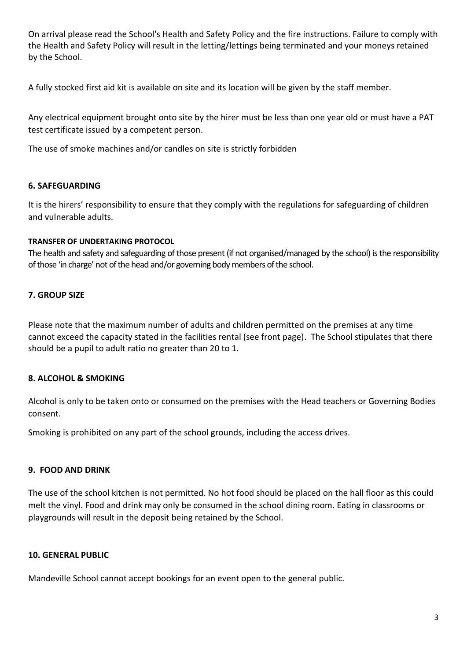On arrival please read the School's Health and Safety Policy and the fire instructions. Failure to comply with the Health and Safety Policy will result in the letting/lettings being terminated and your moneys retained by the School.

A fully stocked first aid kit is available on site and its location will be given by the staff member.

Any electrical equipment brought onto site by the hirer must be less than one year old or must have a PAT test certificate issued by a competent person.

The use of smoke machines and/or candles on site is strictly forbidden

# **6. SAFEGUARDING**

It is the hirers' responsibility to ensure that they comply with the regulations for safeguarding of children and vulnerable adults.

# **TRANSFER OF UNDERTAKING PROTOCOL**

The health and safety and safeguarding of those present (if not organised/managed by the school) is the responsibility of those 'in charge' not of the head and/or governing body members of the school.

# **7. GROUP SIZE**

Please note that the maximum number of adults and children permitted on the premises at any time cannot exceed the capacity stated in the facilities rental (see front page). The School stipulates that there should be a pupil to adult ratio no greater than 20 to 1.

# **8. ALCOHOL & SMOKING**

Alcohol is only to be taken onto or consumed on the premises with the Head teachers or Governing Bodies consent.

Smoking is prohibited on any part of the school grounds, including the access drives.

# **9. FOOD AND DRINK**

The use of the school kitchen is not permitted. No hot food should be placed on the hall floor as this could melt the vinyl. Food and drink may only be consumed in the school dining room. Eating in classrooms or playgrounds will result in the deposit being retained by the School.

# **10. GENERAL PUBLIC**

Mandeville School cannot accept bookings for an event open to the general public.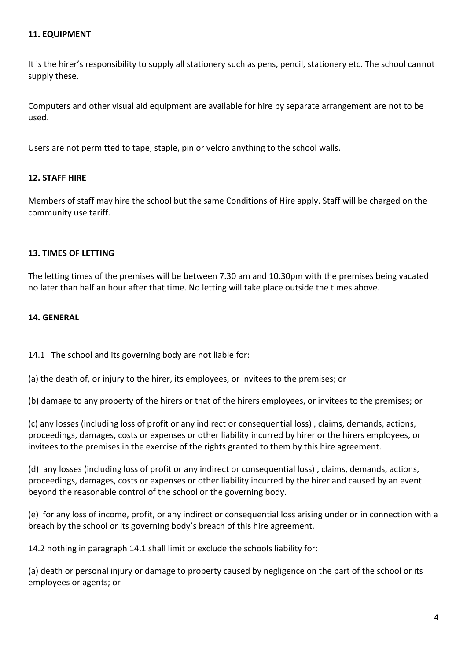#### **11. EQUIPMENT**

It is the hirer's responsibility to supply all stationery such as pens, pencil, stationery etc. The school cannot supply these.

Computers and other visual aid equipment are available for hire by separate arrangement are not to be used.

Users are not permitted to tape, staple, pin or velcro anything to the school walls.

#### **12. STAFF HIRE**

Members of staff may hire the school but the same Conditions of Hire apply. Staff will be charged on the community use tariff.

#### **13. TIMES OF LETTING**

The letting times of the premises will be between 7.30 am and 10.30pm with the premises being vacated no later than half an hour after that time. No letting will take place outside the times above.

#### **14. GENERAL**

14.1 The school and its governing body are not liable for:

(a) the death of, or injury to the hirer, its employees, or invitees to the premises; or

(b) damage to any property of the hirers or that of the hirers employees, or invitees to the premises; or

(c) any losses (including loss of profit or any indirect or consequential loss) , claims, demands, actions, proceedings, damages, costs or expenses or other liability incurred by hirer or the hirers employees, or invitees to the premises in the exercise of the rights granted to them by this hire agreement.

(d) any losses (including loss of profit or any indirect or consequential loss) , claims, demands, actions, proceedings, damages, costs or expenses or other liability incurred by the hirer and caused by an event beyond the reasonable control of the school or the governing body.

(e) for any loss of income, profit, or any indirect or consequential loss arising under or in connection with a breach by the school or its governing body's breach of this hire agreement.

14.2 nothing in paragraph 14.1 shall limit or exclude the schools liability for:

(a) death or personal injury or damage to property caused by negligence on the part of the school or its employees or agents; or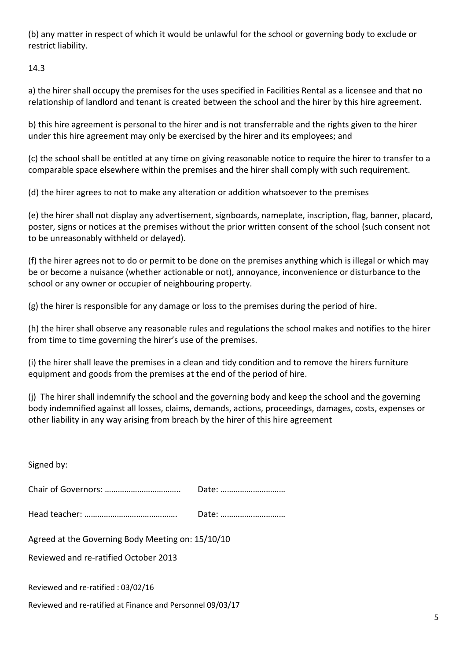(b) any matter in respect of which it would be unlawful for the school or governing body to exclude or restrict liability.

14.3

a) the hirer shall occupy the premises for the uses specified in Facilities Rental as a licensee and that no relationship of landlord and tenant is created between the school and the hirer by this hire agreement.

b) this hire agreement is personal to the hirer and is not transferrable and the rights given to the hirer under this hire agreement may only be exercised by the hirer and its employees; and

(c) the school shall be entitled at any time on giving reasonable notice to require the hirer to transfer to a comparable space elsewhere within the premises and the hirer shall comply with such requirement.

(d) the hirer agrees to not to make any alteration or addition whatsoever to the premises

(e) the hirer shall not display any advertisement, signboards, nameplate, inscription, flag, banner, placard, poster, signs or notices at the premises without the prior written consent of the school (such consent not to be unreasonably withheld or delayed).

(f) the hirer agrees not to do or permit to be done on the premises anything which is illegal or which may be or become a nuisance (whether actionable or not), annoyance, inconvenience or disturbance to the school or any owner or occupier of neighbouring property.

(g) the hirer is responsible for any damage or loss to the premises during the period of hire.

(h) the hirer shall observe any reasonable rules and regulations the school makes and notifies to the hirer from time to time governing the hirer's use of the premises.

(i) the hirer shall leave the premises in a clean and tidy condition and to remove the hirers furniture equipment and goods from the premises at the end of the period of hire.

(j) The hirer shall indemnify the school and the governing body and keep the school and the governing body indemnified against all losses, claims, demands, actions, proceedings, damages, costs, expenses or other liability in any way arising from breach by the hirer of this hire agreement

| Signed by:                                                                                 |       |  |  |
|--------------------------------------------------------------------------------------------|-------|--|--|
|                                                                                            | Date: |  |  |
|                                                                                            | Date: |  |  |
| Agreed at the Governing Body Meeting on: 15/10/10<br>Reviewed and re-ratified October 2013 |       |  |  |
| Reviewed and re-ratified: 03/02/16                                                         |       |  |  |

Reviewed and re-ratified at Finance and Personnel 09/03/17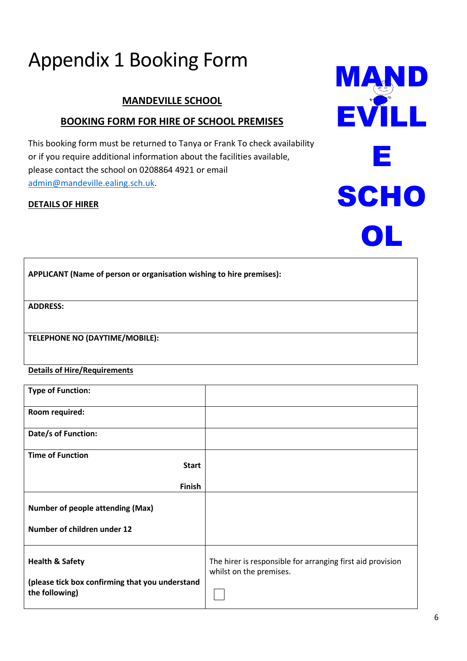# Appendix 1 Booking Form

# **MANDEVILLE SCHOOL**

# **BOOKING FORM FOR HIRE OF SCHOOL PREMISES**

This booking form must be returned to Tanya or Frank To check availability or if you require additional information about the facilities available, please contact the school on 0208864 4921 or email [admin@mandeville.ealing.sch.uk.](mailto:admin@mandeville.ealing.sch.uk)

## **DETAILS OF HIRER**

|                                                                      | $\bullet$ |
|----------------------------------------------------------------------|-----------|
| APPLICANT (Name of person or organisation wishing to hire premises): |           |
| <b>ADDRESS:</b>                                                      |           |
| TELEPHONE NO (DAYTIME/MOBILE):                                       |           |

#### **Details of Hire/Requirements**

| <b>Type of Function:</b>                                                                        |                                                                                       |
|-------------------------------------------------------------------------------------------------|---------------------------------------------------------------------------------------|
| Room required:                                                                                  |                                                                                       |
| Date/s of Function:                                                                             |                                                                                       |
| <b>Time of Function</b>                                                                         |                                                                                       |
| <b>Start</b>                                                                                    |                                                                                       |
| <b>Finish</b>                                                                                   |                                                                                       |
| <b>Number of people attending (Max)</b>                                                         |                                                                                       |
| Number of children under 12                                                                     |                                                                                       |
| <b>Health &amp; Safety</b><br>(please tick box confirming that you understand<br>the following) | The hirer is responsible for arranging first aid provision<br>whilst on the premises. |